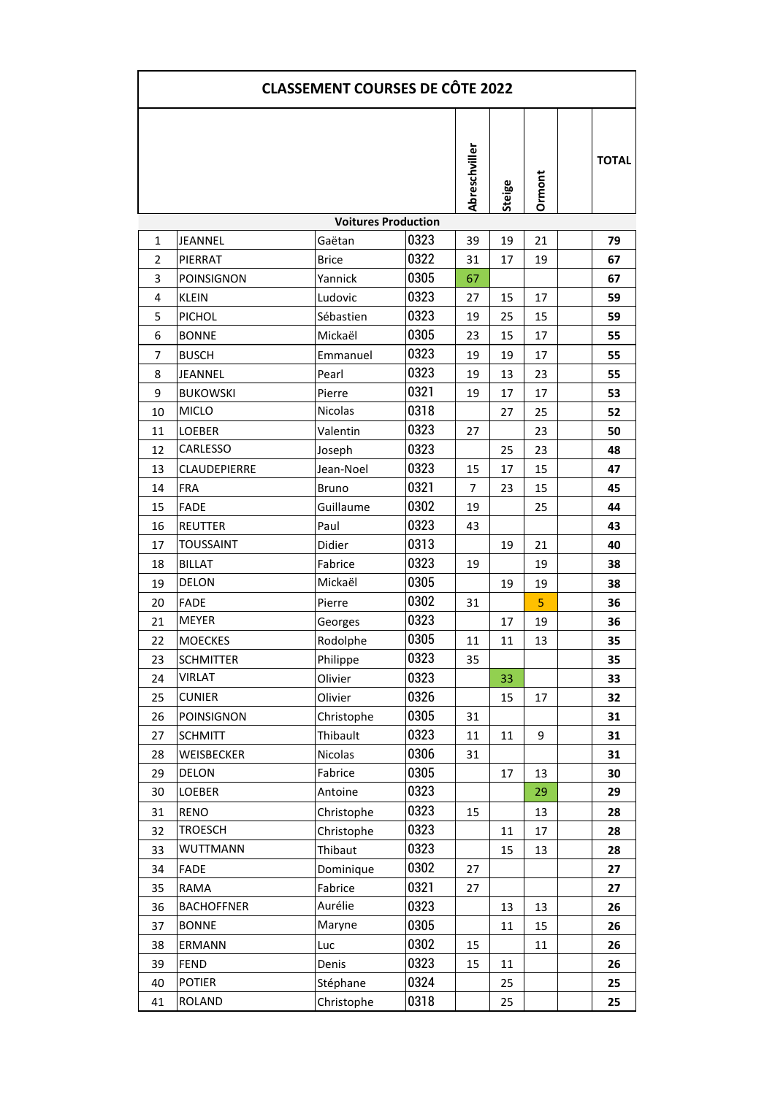| <b>CLASSEMENT COURSES DE CÔTE 2022</b> |                   |                |      |               |               |        |              |  |  |  |  |  |
|----------------------------------------|-------------------|----------------|------|---------------|---------------|--------|--------------|--|--|--|--|--|
|                                        |                   |                |      | Abreschviller | <b>Steige</b> | Ormont | <b>TOTAL</b> |  |  |  |  |  |
| <b>Voitures Production</b>             |                   |                |      |               |               |        |              |  |  |  |  |  |
| 1                                      | JEANNEL           | Gaëtan         | 0323 | 39            | 19            | 21     | 79           |  |  |  |  |  |
| $\overline{2}$                         | PIERRAT           | <b>Brice</b>   | 0322 | 31            | 17            | 19     | 67           |  |  |  |  |  |
| 3                                      | <b>POINSIGNON</b> | Yannick        | 0305 | 67            |               |        | 67           |  |  |  |  |  |
| 4                                      | <b>KLEIN</b>      | Ludovic        | 0323 | 27            | 15            | 17     | 59           |  |  |  |  |  |
| 5                                      | <b>PICHOL</b>     | Sébastien      | 0323 | 19            | 25            | 15     | 59           |  |  |  |  |  |
| 6                                      | <b>BONNE</b>      | Mickaël        | 0305 | 23            | 15            | 17     | 55           |  |  |  |  |  |
| $\overline{7}$                         | <b>BUSCH</b>      | Emmanuel       | 0323 | 19            | 19            | 17     | 55           |  |  |  |  |  |
| 8                                      | JEANNEL           | Pearl          | 0323 | 19            | 13            | 23     | 55           |  |  |  |  |  |
| 9                                      | <b>BUKOWSKI</b>   | Pierre         | 0321 | 19            | 17            | 17     | 53           |  |  |  |  |  |
| 10                                     | <b>MICLO</b>      | <b>Nicolas</b> | 0318 |               | 27            | 25     | 52           |  |  |  |  |  |
| 11                                     | LOEBER            | Valentin       | 0323 | 27            |               | 23     | 50           |  |  |  |  |  |
| 12                                     | <b>CARLESSO</b>   | Joseph         | 0323 |               | 25            | 23     | 48           |  |  |  |  |  |
| 13                                     | CLAUDEPIERRE      | Jean-Noel      | 0323 | 15            | 17            | 15     | 47           |  |  |  |  |  |
| 14                                     | <b>FRA</b>        | Bruno          | 0321 | 7             | 23            | 15     | 45           |  |  |  |  |  |
| 15                                     | <b>FADE</b>       | Guillaume      | 0302 | 19            |               | 25     | 44           |  |  |  |  |  |
| 16                                     | <b>REUTTER</b>    | Paul           | 0323 | 43            |               |        | 43           |  |  |  |  |  |
| 17                                     | <b>TOUSSAINT</b>  | Didier         | 0313 |               | 19            | 21     | 40           |  |  |  |  |  |
| 18                                     | <b>BILLAT</b>     | Fabrice        | 0323 | 19            |               | 19     | 38           |  |  |  |  |  |
| 19                                     | <b>DELON</b>      | Mickaël        | 0305 |               | 19            | 19     | 38           |  |  |  |  |  |
| 20                                     | <b>FADE</b>       | Pierre         | 0302 | 31            |               | 5      | 36           |  |  |  |  |  |
| 21                                     | <b>MEYER</b>      | Georges        | 0323 |               | 17            | 19     | 36           |  |  |  |  |  |
| 22                                     | <b>MOECKES</b>    | Rodolphe       | 0305 | 11            | 11            | 13     | 35           |  |  |  |  |  |
| 23                                     | <b>SCHMITTER</b>  | Philippe       | 0323 | 35            |               |        | 35           |  |  |  |  |  |
| 24                                     | VIRLAT            | Olivier        | 0323 |               | 33            |        | 33           |  |  |  |  |  |
| 25                                     | <b>CUNIER</b>     | Olivier        | 0326 |               | 15            | 17     | 32           |  |  |  |  |  |
| 26                                     | POINSIGNON        | Christophe     | 0305 | 31            |               |        | 31           |  |  |  |  |  |
| 27                                     | <b>SCHMITT</b>    | Thibault       | 0323 | 11            | 11            | 9      | 31           |  |  |  |  |  |
| 28                                     | WEISBECKER        | Nicolas        | 0306 | 31            |               |        | 31           |  |  |  |  |  |
| 29                                     | DELON             | Fabrice        | 0305 |               | 17            | 13     | 30           |  |  |  |  |  |
| 30                                     | LOEBER            | Antoine        | 0323 |               |               | 29     | 29           |  |  |  |  |  |
| 31                                     | <b>RENO</b>       | Christophe     | 0323 | 15            |               | 13     | 28           |  |  |  |  |  |
| 32                                     | <b>TROESCH</b>    | Christophe     | 0323 |               | 11            | 17     | 28           |  |  |  |  |  |
| 33                                     | WUTTMANN          | Thibaut        | 0323 |               | 15            | 13     | 28           |  |  |  |  |  |
| 34                                     | <b>FADE</b>       | Dominique      | 0302 | 27            |               |        | 27           |  |  |  |  |  |
| 35                                     | RAMA              | Fabrice        | 0321 | 27            |               |        | 27           |  |  |  |  |  |
| 36                                     | <b>BACHOFFNER</b> | Aurélie        | 0323 |               | 13            | 13     | 26           |  |  |  |  |  |
| 37                                     | <b>BONNE</b>      | Maryne         | 0305 |               | 11            | 15     | 26           |  |  |  |  |  |
| 38                                     | ERMANN            | Luc            | 0302 | 15            |               | 11     | 26           |  |  |  |  |  |
| 39                                     | <b>FEND</b>       | Denis          | 0323 | 15            | 11            |        | 26           |  |  |  |  |  |
| 40                                     | <b>POTIER</b>     | Stéphane       | 0324 |               | 25            |        | 25           |  |  |  |  |  |
| 41                                     | <b>ROLAND</b>     | Christophe     | 0318 |               | 25            |        | 25           |  |  |  |  |  |